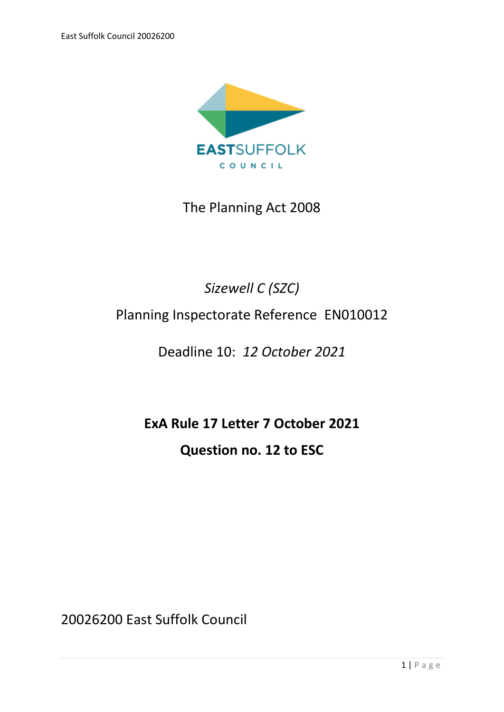

The Planning Act 2008

## *Sizewell C (SZC)*

## Planning Inspectorate Reference EN010012

## Deadline 10: *12 October 2021*

# **ExA Rule 17 Letter 7 October 2021 Question no. 12 to ESC**

20026200 East Suffolk Council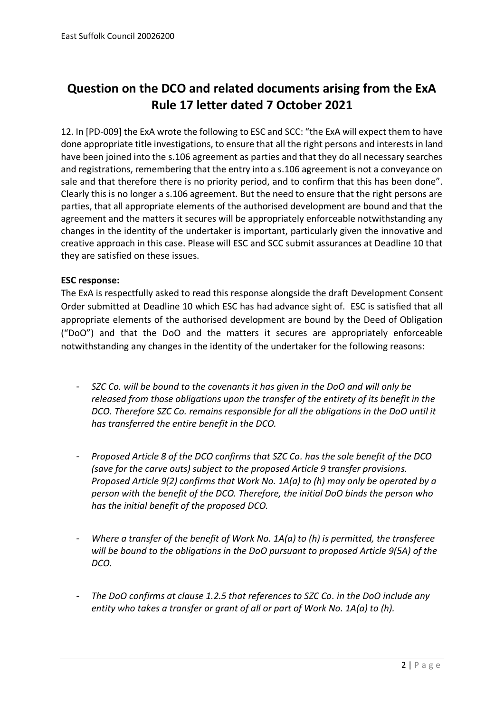### **Question on the DCO and related documents arising from the ExA Rule 17 letter dated 7 October 2021**

12. In [PD-009] the ExA wrote the following to ESC and SCC: "the ExA will expect them to have done appropriate title investigations, to ensure that all the right persons and interests in land have been joined into the s.106 agreement as parties and that they do all necessary searches and registrations, remembering that the entry into a s.106 agreement is not a conveyance on sale and that therefore there is no priority period, and to confirm that this has been done". Clearly this is no longer a s.106 agreement. But the need to ensure that the right persons are parties, that all appropriate elements of the authorised development are bound and that the agreement and the matters it secures will be appropriately enforceable notwithstanding any changes in the identity of the undertaker is important, particularly given the innovative and creative approach in this case. Please will ESC and SCC submit assurances at Deadline 10 that they are satisfied on these issues.

#### **ESC response:**

The ExA is respectfully asked to read this response alongside the draft Development Consent Order submitted at Deadline 10 which ESC has had advance sight of. ESC is satisfied that all appropriate elements of the authorised development are bound by the Deed of Obligation ("DoO") and that the DoO and the matters it secures are appropriately enforceable notwithstanding any changes in the identity of the undertaker for the following reasons:

- *SZC Co. will be bound to the covenants it has given in the DoO and will only be released from those obligations upon the transfer of the entirety of its benefit in the DCO. Therefore SZC Co. remains responsible for all the obligations in the DoO until it has transferred the entire benefit in the DCO.*
- *Proposed Article 8 of the DCO confirms that SZC Co. has the sole benefit of the DCO (save for the carve outs) subject to the proposed Article 9 transfer provisions. Proposed Article 9(2) confirms that Work No. 1A(a) to (h) may only be operated by a person with the benefit of the DCO. Therefore, the initial DoO binds the person who has the initial benefit of the proposed DCO.*
- *Where a transfer of the benefit of Work No. 1A(a) to (h) is permitted, the transferee will be bound to the obligations in the DoO pursuant to proposed Article 9(5A) of the DCO.*
- *The DoO confirms at clause 1.2.5 that references to SZC Co. in the DoO include any entity who takes a transfer or grant of all or part of Work No. 1A(a) to (h).*